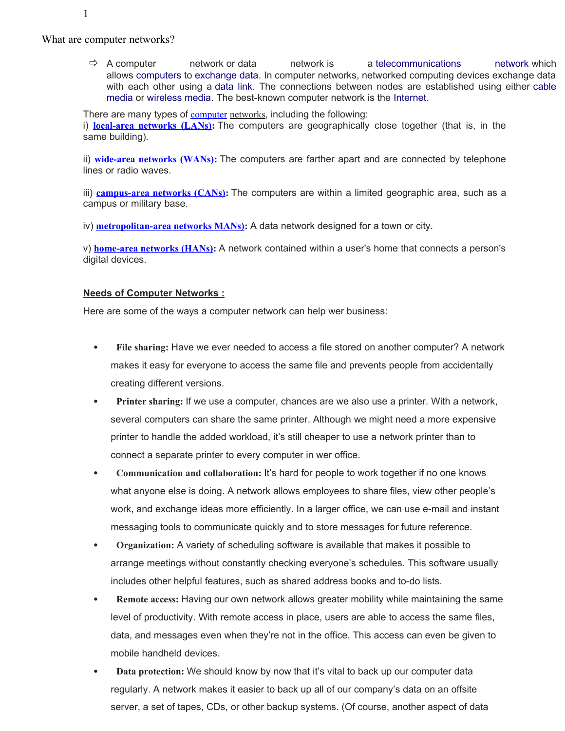1

#### What are computer networks?

 $\Rightarrow$  A computer aretwork or data network is a telecommunications aretwork which allows [computers](https://en.wikipedia.org/wiki/Computer) to [exchange data.](https://en.wikipedia.org/wiki/Data_transmission) In computer networks, networked computing devices exchange data with each other using a [data link.](https://en.wikipedia.org/wiki/Data_link) The connections between nodes are established using either [cable](https://en.wikipedia.org/wiki/Transmission_line) [media](https://en.wikipedia.org/wiki/Transmission_line) or [wireless media.](https://en.wikipedia.org/wiki/Wireless_network) The best-known computer network is the [Internet.](https://en.wikipedia.org/wiki/Internet)

There are many types of [computer](http://www.webopedia.com/TERM/C/computer.html) [networks](http://www.webopedia.com/TERM/N/network.html), including the following: i) **local-area networks (LANs)**: The computers are geographically close together (that is, in the same building).

ii) [wide-area networks \(WANs\):](http://www.webopedia.com/TERM/W/wide_area_network_WAN.html) The computers are farther apart and are connected by telephone lines or radio waves.

iii) **[campus-area networks \(CANs\):](http://www.webopedia.com/TERM/C/CAN.html)** The computers are within a limited geographic area, such as a campus or military base.

iv) **[metropolitan-area networks MANs\):](http://www.webopedia.com/TERM/M/MAN.html)** A data network designed for a town or city.

v) **[home-area networks \(HANs\):](http://www.webopedia.com/TERM/H/HAN.html)** A network contained within a user's home that connects a person's digital devices.

#### **Needs of Computer Networks :**

Here are some of the ways a computer network can help wer business:

- **File sharing:** Have we ever needed to access a file stored on another computer? A network makes it easy for everyone to access the same file and prevents people from accidentally creating different versions.
- **Printer sharing:** If we use a computer, chances are we also use a printer. With a network, several computers can share the same printer. Although we might need a more expensive printer to handle the added workload, it's still cheaper to use a network printer than to connect a separate printer to every computer in wer office.
- **Communication and collaboration:** It's hard for people to work together if no one knows what anyone else is doing. A network allows employees to share files, view other people's work, and exchange ideas more efficiently. In a larger office, we can use e-mail and instant messaging tools to communicate quickly and to store messages for future reference.
- **Organization:** A variety of scheduling software is available that makes it possible to arrange meetings without constantly checking everyone's schedules. This software usually includes other helpful features, such as shared address books and to-do lists.
- **Remote access:** Having our own network allows greater mobility while maintaining the same level of productivity. With remote access in place, users are able to access the same files, data, and messages even when they're not in the office. This access can even be given to mobile handheld devices.
- **Data protection:** We should know by now that it's vital to back up our computer data regularly. A network makes it easier to back up all of our company's data on an offsite server, a set of tapes, CDs, or other backup systems. (Of course, another aspect of data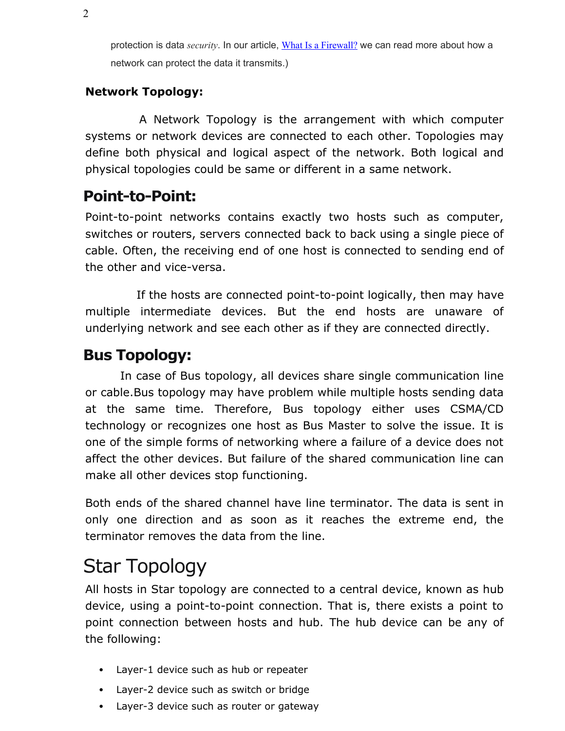protection is data *security*. In our article, [What Is a Firewall?](http://www.allbusiness.com/technology/computer-networking-network-security-firewall/1300-1.html) we can read more about how a network can protect the data it transmits.)

# **Network Topology:**

 A Network Topology is the arrangement with which computer systems or network devices are connected to each other. Topologies may define both physical and logical aspect of the network. Both logical and physical topologies could be same or different in a same network.

# **Point-to-Point:**

Point-to-point networks contains exactly two hosts such as computer, switches or routers, servers connected back to back using a single piece of cable. Often, the receiving end of one host is connected to sending end of the other and vice-versa.

 If the hosts are connected point-to-point logically, then may have multiple intermediate devices. But the end hosts are unaware of underlying network and see each other as if they are connected directly.

# **Bus Topology:**

 In case of Bus topology, all devices share single communication line or cable.Bus topology may have problem while multiple hosts sending data at the same time. Therefore, Bus topology either uses CSMA/CD technology or recognizes one host as Bus Master to solve the issue. It is one of the simple forms of networking where a failure of a device does not affect the other devices. But failure of the shared communication line can make all other devices stop functioning.

Both ends of the shared channel have line terminator. The data is sent in only one direction and as soon as it reaches the extreme end, the terminator removes the data from the line.

# Star Topology

All hosts in Star topology are connected to a central device, known as hub device, using a point-to-point connection. That is, there exists a point to point connection between hosts and hub. The hub device can be any of the following:

- Layer-1 device such as hub or repeater
- Layer-2 device such as switch or bridge
- Layer-3 device such as router or gateway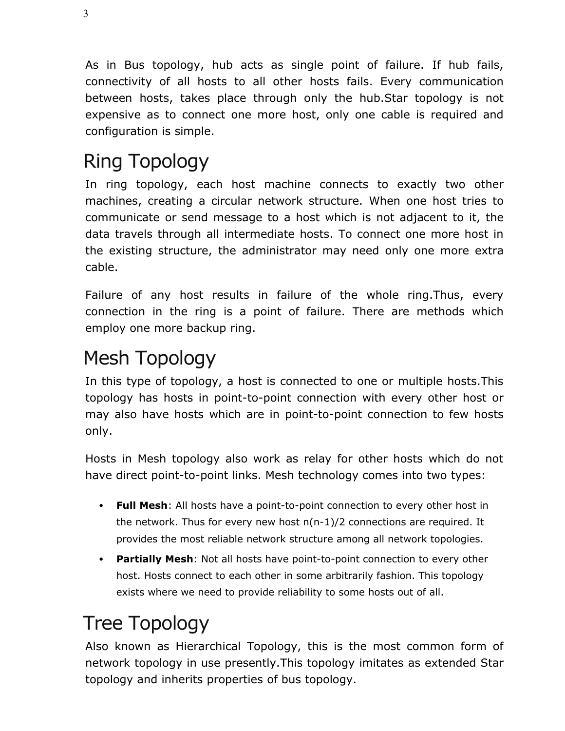As in Bus topology, hub acts as single point of failure. If hub fails, connectivity of all hosts to all other hosts fails. Every communication between hosts, takes place through only the hub.Star topology is not expensive as to connect one more host, only one cable is required and configuration is simple.

# Ring Topology

In ring topology, each host machine connects to exactly two other machines, creating a circular network structure. When one host tries to communicate or send message to a host which is not adjacent to it, the data travels through all intermediate hosts. To connect one more host in the existing structure, the administrator may need only one more extra cable.

Failure of any host results in failure of the whole ring.Thus, every connection in the ring is a point of failure. There are methods which employ one more backup ring.

# Mesh Topology

In this type of topology, a host is connected to one or multiple hosts.This topology has hosts in point-to-point connection with every other host or may also have hosts which are in point-to-point connection to few hosts only.

Hosts in Mesh topology also work as relay for other hosts which do not have direct point-to-point links. Mesh technology comes into two types:

- **Full Mesh**: All hosts have a point-to-point connection to every other host in the network. Thus for every new host  $n(n-1)/2$  connections are required. It provides the most reliable network structure among all network topologies.
- **Partially Mesh**: Not all hosts have point-to-point connection to every other host. Hosts connect to each other in some arbitrarily fashion. This topology exists where we need to provide reliability to some hosts out of all.

# Tree Topology

Also known as Hierarchical Topology, this is the most common form of network topology in use presently.This topology imitates as extended Star topology and inherits properties of bus topology.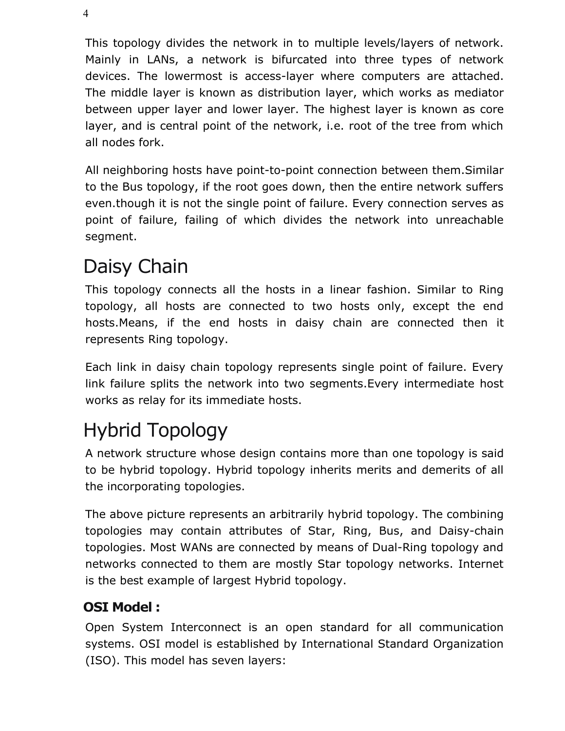This topology divides the network in to multiple levels/layers of network. Mainly in LANs, a network is bifurcated into three types of network devices. The lowermost is access-layer where computers are attached. The middle layer is known as distribution layer, which works as mediator between upper layer and lower layer. The highest layer is known as core layer, and is central point of the network, i.e. root of the tree from which all nodes fork.

All neighboring hosts have point-to-point connection between them.Similar to the Bus topology, if the root goes down, then the entire network suffers even.though it is not the single point of failure. Every connection serves as point of failure, failing of which divides the network into unreachable segment.

# Daisy Chain

This topology connects all the hosts in a linear fashion. Similar to Ring topology, all hosts are connected to two hosts only, except the end hosts.Means, if the end hosts in daisy chain are connected then it represents Ring topology.

Each link in daisy chain topology represents single point of failure. Every link failure splits the network into two segments.Every intermediate host works as relay for its immediate hosts.

# Hybrid Topology

A network structure whose design contains more than one topology is said to be hybrid topology. Hybrid topology inherits merits and demerits of all the incorporating topologies.

The above picture represents an arbitrarily hybrid topology. The combining topologies may contain attributes of Star, Ring, Bus, and Daisy-chain topologies. Most WANs are connected by means of Dual-Ring topology and networks connected to them are mostly Star topology networks. Internet is the best example of largest Hybrid topology.

# **OSI Model :**

Open System Interconnect is an open standard for all communication systems. OSI model is established by International Standard Organization (ISO). This model has seven layers: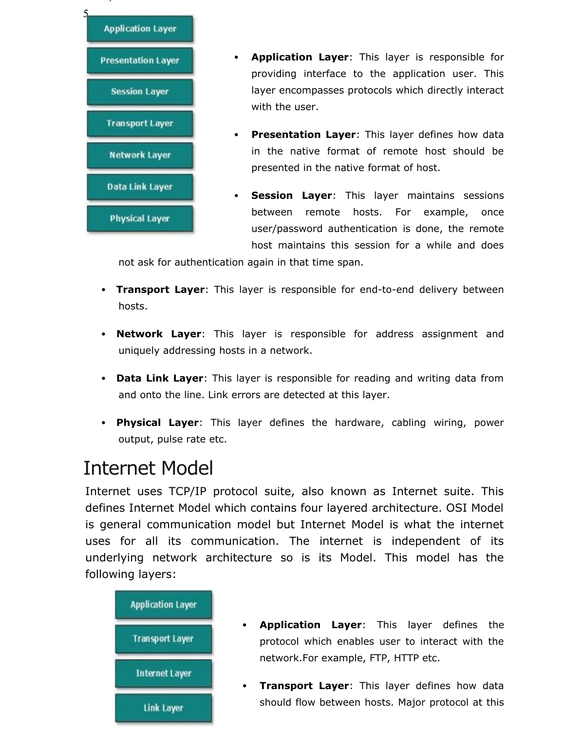

- **Application Layer**: This layer is responsible for providing interface to the application user. This layer encompasses protocols which directly interact with the user.
- **Presentation Layer:** This layer defines how data in the native format of remote host should be presented in the native format of host.
- **Session Layer:** This layer maintains sessions between remote hosts. For example, once user/password authentication is done, the remote host maintains this session for a while and does

not ask for authentication again in that time span.

- **Transport Layer**: This layer is responsible for end-to-end delivery between hosts.
- **Network Layer**: This layer is responsible for address assignment and uniquely addressing hosts in a network.
- **Data Link Layer**: This layer is responsible for reading and writing data from and onto the line. Link errors are detected at this layer.
- **Physical Layer**: This layer defines the hardware, cabling wiring, power output, pulse rate etc.

# Internet Model

Internet uses TCP/IP protocol suite, also known as Internet suite. This defines Internet Model which contains four layered architecture. OSI Model is general communication model but Internet Model is what the internet uses for all its communication. The internet is independent of its underlying network architecture so is its Model. This model has the following layers:



- **Application Layer**: This layer defines the protocol which enables user to interact with the network.For example, FTP, HTTP etc.
- **Transport Layer**: This layer defines how data should flow between hosts. Major protocol at this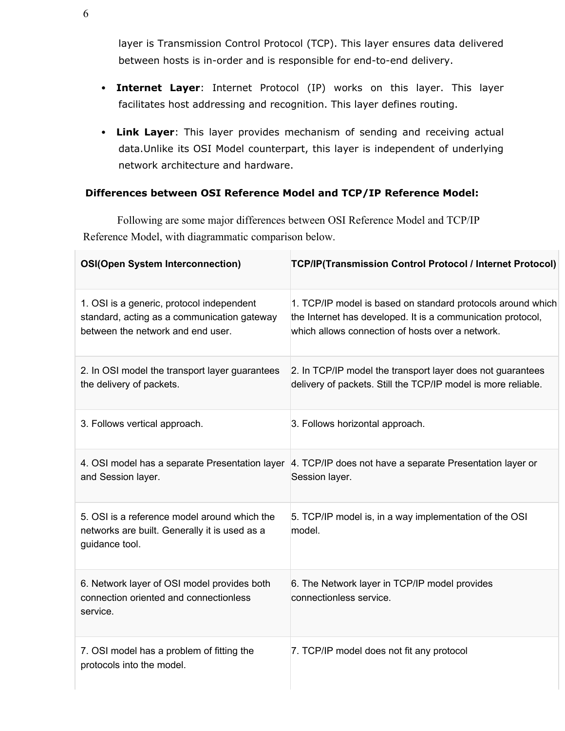layer is Transmission Control Protocol (TCP). This layer ensures data delivered between hosts is in-order and is responsible for end-to-end delivery.

- **Internet Layer**: Internet Protocol (IP) works on this layer. This layer facilitates host addressing and recognition. This layer defines routing.
- **Link Layer**: This layer provides mechanism of sending and receiving actual data.Unlike its OSI Model counterpart, this layer is independent of underlying network architecture and hardware.

### **Differences between OSI Reference Model and TCP/IP Reference Model:**

 Following are some major differences between OSI Reference Model and TCP/IP Reference Model, with diagrammatic comparison below.

| <b>OSI(Open System Interconnection)</b>                                                                                       | <b>TCP/IP(Transmission Control Protocol / Internet Protocol)</b>                                                                                                               |
|-------------------------------------------------------------------------------------------------------------------------------|--------------------------------------------------------------------------------------------------------------------------------------------------------------------------------|
| 1. OSI is a generic, protocol independent<br>standard, acting as a communication gateway<br>between the network and end user. | 1. TCP/IP model is based on standard protocols around which<br>the Internet has developed. It is a communication protocol,<br>which allows connection of hosts over a network. |
| 2. In OSI model the transport layer guarantees<br>the delivery of packets.                                                    | 2. In TCP/IP model the transport layer does not guarantees<br>delivery of packets. Still the TCP/IP model is more reliable.                                                    |
| 3. Follows vertical approach.                                                                                                 | 3. Follows horizontal approach.                                                                                                                                                |
| 4. OSI model has a separate Presentation layer<br>and Session layer.                                                          | 4. TCP/IP does not have a separate Presentation layer or<br>Session layer.                                                                                                     |
| 5. OSI is a reference model around which the<br>networks are built. Generally it is used as a<br>guidance tool.               | 5. TCP/IP model is, in a way implementation of the OSI<br>model.                                                                                                               |
| 6. Network layer of OSI model provides both<br>connection oriented and connectionless<br>service.                             | 6. The Network layer in TCP/IP model provides<br>connectionless service.                                                                                                       |
| 7. OSI model has a problem of fitting the<br>protocols into the model.                                                        | 7. TCP/IP model does not fit any protocol                                                                                                                                      |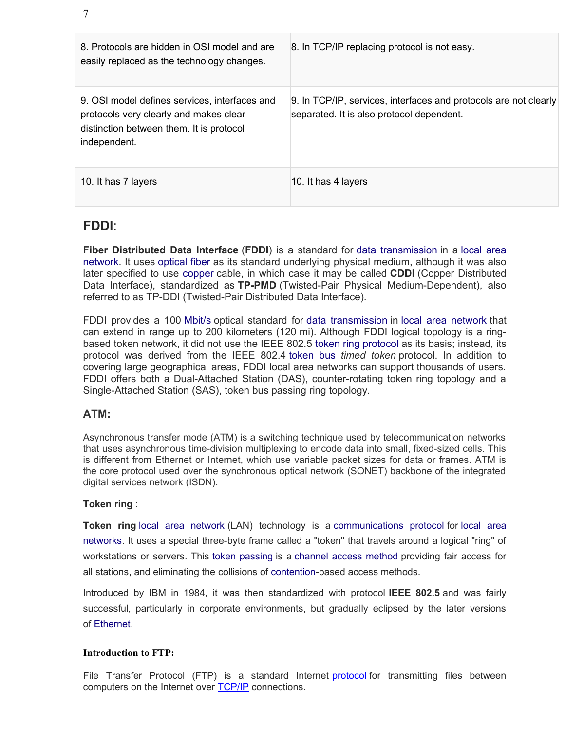| 8. Protocols are hidden in OSI model and are<br>easily replaced as the technology changes.                                                          | 8. In TCP/IP replacing protocol is not easy.                                                                  |
|-----------------------------------------------------------------------------------------------------------------------------------------------------|---------------------------------------------------------------------------------------------------------------|
| 9. OSI model defines services, interfaces and<br>protocols very clearly and makes clear<br>distinction between them. It is protocol<br>independent. | 9. In TCP/IP, services, interfaces and protocols are not clearly<br>separated. It is also protocol dependent. |
| 10. It has 7 layers                                                                                                                                 | 10. It has 4 layers                                                                                           |

## **FDDI**:

**Fiber Distributed Data Interface** (**FDDI**) is a standard for [data transmission](https://en.wikipedia.org/wiki/Data_transmission) in a [local area](https://en.wikipedia.org/wiki/Local_area_network) [network.](https://en.wikipedia.org/wiki/Local_area_network) It uses [optical fiber](https://en.wikipedia.org/wiki/Optical_fiber) as its standard underlying physical medium, although it was also later specified to use [copper](https://en.wikipedia.org/wiki/Copper) cable, in which case it may be called **CDDI** (Copper Distributed Data Interface), standardized as **TP-PMD** (Twisted-Pair Physical Medium-Dependent), also referred to as TP-DDI (Twisted-Pair Distributed Data Interface).

FDDI provides a 100 [Mbit/s](https://en.wikipedia.org/wiki/Mbit/s) optical standard for [data transmission](https://en.wikipedia.org/wiki/Data_transmission) in [local area network](https://en.wikipedia.org/wiki/Local_area_network) that can extend in range up to 200 kilometers (120 mi). Although FDDI logical topology is a ringbased token network, it did not use the IEEE 802.5 [token ring](https://en.wikipedia.org/wiki/Token_ring) [protocol](https://en.wikipedia.org/wiki/Communications_protocol) as its basis; instead, its protocol was derived from the IEEE 802.4 [token bus](https://en.wikipedia.org/wiki/Token_bus) *timed token* protocol. In addition to covering large geographical areas, FDDI local area networks can support thousands of users. FDDI offers both a Dual-Attached Station (DAS), counter-rotating token ring topology and a Single-Attached Station (SAS), token bus passing ring topology.

### **ATM:**

Asynchronous transfer mode (ATM) is a switching technique used by telecommunication networks that uses asynchronous time-division multiplexing to encode data into small, fixed-sized cells. This is different from Ethernet or Internet, which use variable packet sizes for data or frames. ATM is the core protocol used over the synchronous optical network (SONET) backbone of the integrated digital services network (ISDN).

#### **Token ring** :

**Token ring** [local area network](https://en.wikipedia.org/wiki/Local_area_network) (LAN) technology is a [communications protocol](https://en.wikipedia.org/wiki/Communications_protocol) for [local area](https://en.wikipedia.org/wiki/Local_area_network) [networks.](https://en.wikipedia.org/wiki/Local_area_network) It uses a special three-byte frame called a "token" that travels around a logical "ring" of workstations or servers. This [token passing](https://en.wikipedia.org/wiki/Token_passing) is a [channel access method](https://en.wikipedia.org/wiki/Channel_access_method) providing fair access for all stations, and eliminating the collisions of [contention-](https://en.wikipedia.org/wiki/Contention_(telecommunications))based access methods.

Introduced by IBM in 1984, it was then standardized with protocol **IEEE 802.5** and was fairly successful, particularly in corporate environments, but gradually eclipsed by the later versions of [Ethernet.](https://en.wikipedia.org/wiki/Ethernet)

#### **Introduction to FTP:**

File Transfer Protocol (FTP) is a standard Internet [protocol](http://searchnetworking.techtarget.com/definition/protocol) for transmitting files between computers on the Internet over [TCP/IP](http://searchnetworking.techtarget.com/definition/TCP-IP) connections.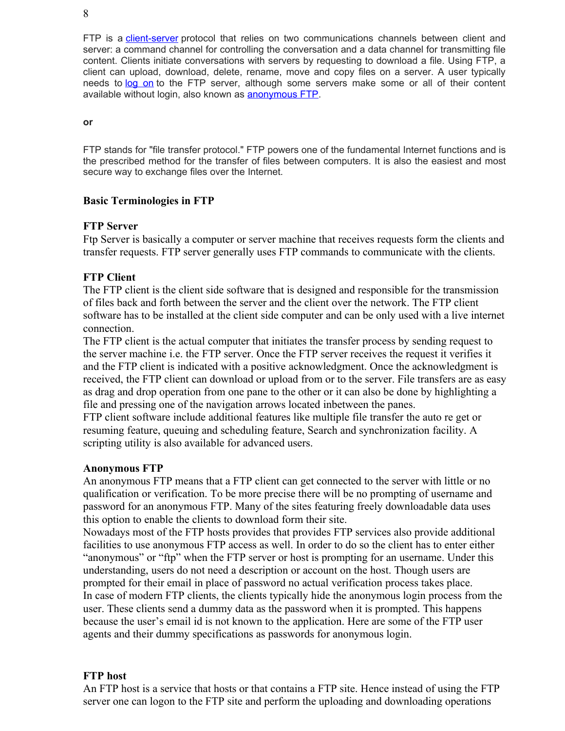FTP is a [client-server](http://searchnetworking.techtarget.com/definition/client-server) protocol that relies on two communications channels between client and server: a command channel for controlling the conversation and a data channel for transmitting file content. Clients initiate conversations with servers by requesting to download a file. Using FTP, a client can upload, download, delete, rename, move and copy files on a server. A user typically needs to [log on](http://searchsecurity.techtarget.com/definition/logon) to the FTP server, although some servers make some or all of their content available without login, also known as **anonymous FTP**.

#### **or**

FTP stands for "file transfer protocol." FTP powers one of the fundamental Internet functions and is the prescribed method for the transfer of files between computers. It is also the easiest and most secure way to exchange files over the Internet.

#### **Basic Terminologies in FTP**

#### **FTP Server**

Ftp Server is basically a computer or server machine that receives requests form the clients and transfer requests. FTP server generally uses FTP commands to communicate with the clients.

#### **FTP Client**

The FTP client is the client side software that is designed and responsible for the transmission of files back and forth between the server and the client over the network. The FTP client software has to be installed at the client side computer and can be only used with a live internet connection.

The FTP client is the actual computer that initiates the transfer process by sending request to the server machine i.e. the FTP server. Once the FTP server receives the request it verifies it and the FTP client is indicated with a positive acknowledgment. Once the acknowledgment is received, the FTP client can download or upload from or to the server. File transfers are as easy as drag and drop operation from one pane to the other or it can also be done by highlighting a file and pressing one of the navigation arrows located inbetween the panes.

FTP client software include additional features like multiple file transfer the auto re get or resuming feature, queuing and scheduling feature, Search and synchronization facility. A scripting utility is also available for advanced users.

#### **Anonymous FTP**

An anonymous FTP means that a FTP client can get connected to the server with little or no qualification or verification. To be more precise there will be no prompting of username and password for an anonymous FTP. Many of the sites featuring freely downloadable data uses this option to enable the clients to download form their site.

Nowadays most of the FTP hosts provides that provides FTP services also provide additional facilities to use anonymous FTP access as well. In order to do so the client has to enter either "anonymous" or "ftp" when the FTP server or host is prompting for an username. Under this understanding, users do not need a description or account on the host. Though users are prompted for their email in place of password no actual verification process takes place. In case of modern FTP clients, the clients typically hide the anonymous login process from the user. These clients send a dummy data as the password when it is prompted. This happens because the user's email id is not known to the application. Here are some of the FTP user agents and their dummy specifications as passwords for anonymous login.

#### **FTP host**

An FTP host is a service that hosts or that contains a FTP site. Hence instead of using the FTP server one can logon to the FTP site and perform the uploading and downloading operations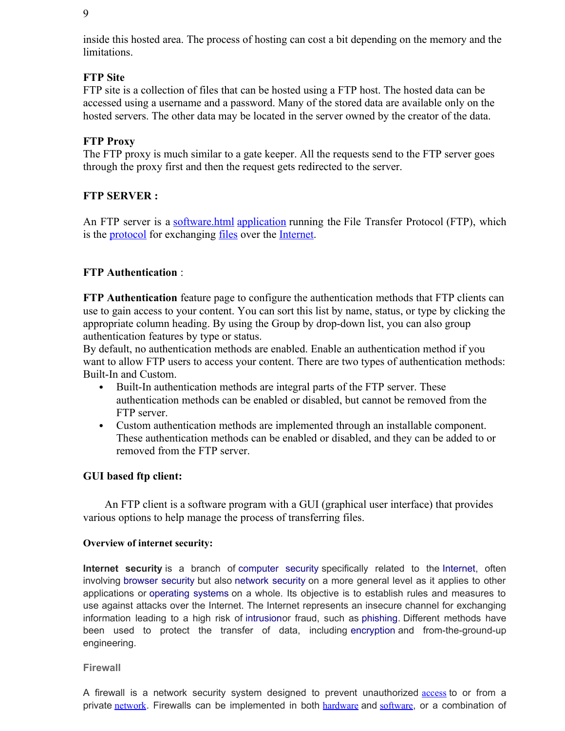9

inside this hosted area. The process of hosting can cost a bit depending on the memory and the limitations.

### **FTP Site**

FTP site is a collection of files that can be hosted using a FTP host. The hosted data can be accessed using a username and a password. Many of the stored data are available only on the hosted servers. The other data may be located in the server owned by the creator of the data.

### **FTP Proxy**

The FTP proxy is much similar to a gate keeper. All the requests send to the FTP server goes through the proxy first and then the request gets redirected to the server.

## **FTP SERVER :**

An FTP server is a [software.html](http://www.webopedia.com/TERM/S/software.html) [application](http://www.webopedia.com/TERM/A/application.html) running the File Transfer Protocol (FTP), which is the **[protocol](http://www.webopedia.com/TERM/P/protocol.html)** for exchanging [files](http://www.webopedia.com/TERM/F/file.html) over the [Internet.](http://www.webopedia.com/TERM/I/Internet.html)

### **FTP Authentication** :

**FTP Authentication** feature page to configure the authentication methods that FTP clients can use to gain access to your content. You can sort this list by name, status, or type by clicking the appropriate column heading. By using the Group by drop-down list, you can also group authentication features by type or status.

By default, no authentication methods are enabled. Enable an authentication method if you want to allow FTP users to access your content. There are two types of authentication methods: Built-In and Custom.

- Built-In authentication methods are integral parts of the FTP server. These authentication methods can be enabled or disabled, but cannot be removed from the FTP server.
- Custom authentication methods are implemented through an installable component. These authentication methods can be enabled or disabled, and they can be added to or removed from the FTP server.

### **GUI based ftp client:**

 An FTP client is a software program with a GUI (graphical user interface) that provides various options to help manage the process of transferring files.

### **Overview of internet security:**

**Internet security** is a branch of [computer security](https://en.wikipedia.org/wiki/Computer_security) specifically related to the [Internet,](https://en.wikipedia.org/wiki/Internet) often involving [browser security](https://en.wikipedia.org/wiki/Browser_security) but also [network security](https://en.wikipedia.org/wiki/Network_security) on a more general level as it applies to other applications or [operating systems](https://en.wikipedia.org/wiki/Operating_systems) on a whole. Its objective is to establish rules and measures to use against attacks over the Internet. The Internet represents an insecure channel for exchanging information leading to a high risk of [intrusiono](https://en.wikipedia.org/wiki/Hacker_(computer_security))r fraud, such as [phishing.](https://en.wikipedia.org/wiki/Phishing) Different methods have been used to protect the transfer of data, including [encryption](https://en.wikipedia.org/wiki/Encryption) and from-the-ground-up engineering.

#### **Firewall**

A firewall is a network security system designed to prevent unauthorized [access](http://www.webopedia.com/TERM/A/access.html) to or from a private [network](http://www.webopedia.com/TERM/N/network.html). Firewalls can be implemented in both [hardware](http://www.webopedia.com/TERM/H/hardware.html) and [software](http://www.webopedia.com/TERM/S/software.html), or a combination of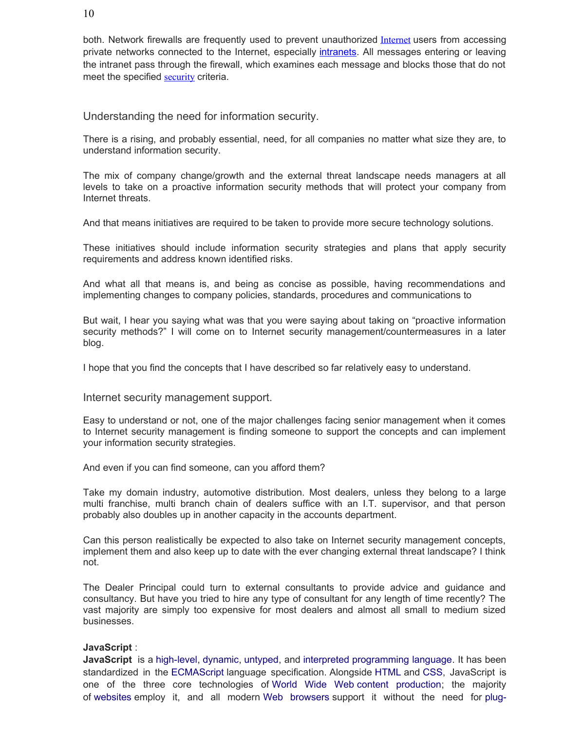both. Network firewalls are frequently used to prevent unauthorized *[Internet](http://www.webopedia.com/TERM/I/Internet.html)* users from accessing private networks connected to the Internet, especially [intranets.](http://www.webopedia.com/TERM/I/intranet.html) All messages entering or leaving the intranet pass through the firewall, which examines each message and blocks those that do not meet the specified [security](http://www.webopedia.com/TERM/S/security.html) criteria.

Understanding the need for information security.

There is a rising, and probably essential, need, for all companies no matter what size they are, to understand information security.

The mix of company change/growth and the external threat landscape needs managers at all levels to take on a proactive information security methods that will protect your company from Internet threats.

And that means initiatives are required to be taken to provide more secure technology solutions.

These initiatives should include information security strategies and plans that apply security requirements and address known identified risks.

And what all that means is, and being as concise as possible, having recommendations and implementing changes to company policies, standards, procedures and communications to

But wait, I hear you saying what was that you were saying about taking on "proactive information security methods?" I will come on to Internet security management/countermeasures in a later blog.

I hope that you find the concepts that I have described so far relatively easy to understand.

Internet security management support.

Easy to understand or not, one of the major challenges facing senior management when it comes to Internet security management is finding someone to support the concepts and can implement your information security strategies.

And even if you can find someone, can you afford them?

Take my domain industry, automotive distribution. Most dealers, unless they belong to a large multi franchise, multi branch chain of dealers suffice with an I.T. supervisor, and that person probably also doubles up in another capacity in the accounts department.

Can this person realistically be expected to also take on Internet security management concepts, implement them and also keep up to date with the ever changing external threat landscape? I think not.

The Dealer Principal could turn to external consultants to provide advice and guidance and consultancy. But have you tried to hire any type of consultant for any length of time recently? The vast majority are simply too expensive for most dealers and almost all small to medium sized businesses.

#### **JavaScript** :

**JavaScript** is a [high-level,](https://en.wikipedia.org/wiki/High-level_programming_language) [dynamic,](https://en.wikipedia.org/wiki/Dynamic_programming_language) [untyped,](https://en.wikipedia.org/wiki/Programming_language#Type_system) and [interpreted](https://en.wikipedia.org/wiki/Interpreted_language) [programming language.](https://en.wikipedia.org/wiki/Programming_language) It has been standardized in the [ECMAScript](https://en.wikipedia.org/wiki/ECMAScript) language specification. Alongside [HTML](https://en.wikipedia.org/wiki/HTML) and [CSS,](https://en.wikipedia.org/wiki/CSS) JavaScript is one of the three core technologies of [World Wide Web](https://en.wikipedia.org/wiki/World_Wide_Web) [content production;](https://en.wikipedia.org/wiki/Content_engineering) the majority of [websites](https://en.wikipedia.org/wiki/Website) employ it, and all modern [Web browsers](https://en.wikipedia.org/wiki/Web_browser) support it without the need for [plug-](https://en.wikipedia.org/wiki/Browser_extension)

10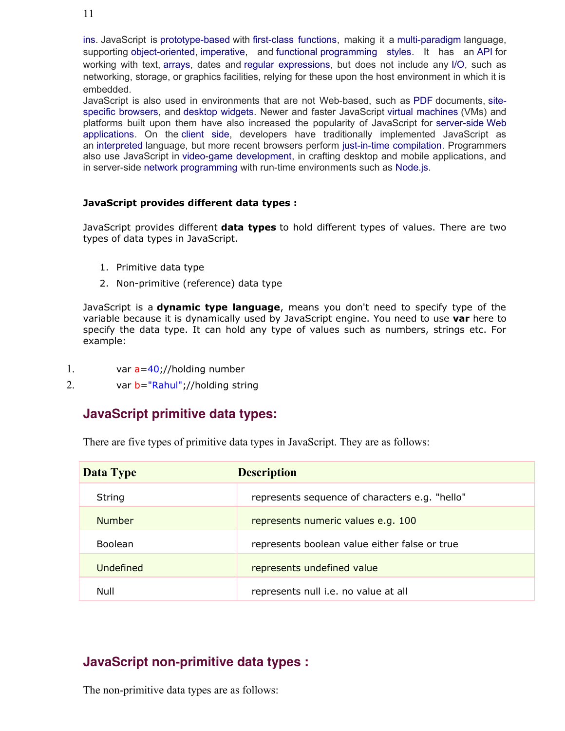[ins.](https://en.wikipedia.org/wiki/Browser_extension) JavaScript is [prototype-based](https://en.wikipedia.org/wiki/Prototype-based_programming) with [first-class functions,](https://en.wikipedia.org/wiki/First-class_function) making it a [multi-paradigm](https://en.wikipedia.org/wiki/Multi-paradigm) language, supporting [object-oriented,](https://en.wikipedia.org/wiki/Object-oriented_programming) [imperative,](https://en.wikipedia.org/wiki/Imperative_programming) and [functional](https://en.wikipedia.org/wiki/Functional_programming) [programming styles.](https://en.wikipedia.org/wiki/Programming_paradigm) It has an [API](https://en.wikipedia.org/wiki/Application_programming_interface) for working with text, [arrays,](https://en.wikipedia.org/wiki/Array_data_type) dates and [regular expressions,](https://en.wikipedia.org/wiki/Regular_expression) but does not include any [I/O,](https://en.wikipedia.org/wiki/Input/output) such as networking, storage, or graphics facilities, relying for these upon the host environment in which it is embedded.

JavaScript is also used in environments that are not Web-based, such as [PDF](https://en.wikipedia.org/wiki/Portable_Document_Format) documents, [site](https://en.wikipedia.org/wiki/Site-specific_browser)[specific browsers,](https://en.wikipedia.org/wiki/Site-specific_browser) and [desktop widgets.](https://en.wikipedia.org/wiki/Desktop_widget) Newer and faster JavaScript [virtual machines](https://en.wikipedia.org/wiki/Virtual_machine) (VMs) and platforms built upon them have also increased the popularity of JavaScript for [server-side](https://en.wikipedia.org/wiki/Server-side) [Web](https://en.wikipedia.org/wiki/Web_application) [applications.](https://en.wikipedia.org/wiki/Web_application) On the [client side,](https://en.wikipedia.org/wiki/Client_side) developers have traditionally implemented JavaScript as an [interpreted](https://en.wikipedia.org/wiki/Interpreter_(computing)) language, but more recent browsers perform [just-in-time compilation.](https://en.wikipedia.org/wiki/Just-in-time_compilation) Programmers also use JavaScript in [video-game development,](https://en.wikipedia.org/wiki/Video_game_development) in crafting desktop and mobile applications, and in server-side [network programming](https://en.wikipedia.org/wiki/Computer_network_programming) with run-time environments such as [Node.js.](https://en.wikipedia.org/wiki/Node.js)

#### **JavaScript provides different data types :**

JavaScript provides different **data types** to hold different types of values. There are two types of data types in JavaScript.

- 1. Primitive data type
- 2. Non-primitive (reference) data type

JavaScript is a **dynamic type language**, means you don't need to specify type of the variable because it is dynamically used by JavaScript engine. You need to use **var** here to specify the data type. It can hold any type of values such as numbers, strings etc. For example:

- 1. var  $a=40$ ;//holding number
- 2. var b="Rahul";//holding string

## **JavaScript primitive data types:**

There are five types of primitive data types in JavaScript. They are as follows:

| Data Type      | <b>Description</b>                             |
|----------------|------------------------------------------------|
| String         | represents sequence of characters e.g. "hello" |
| <b>Number</b>  | represents numeric values e.g. 100             |
| <b>Boolean</b> | represents boolean value either false or true  |
| Undefined      | represents undefined value                     |
| Null           | represents null i.e. no value at all           |

# **JavaScript non-primitive data types :**

The non-primitive data types are as follows:

11